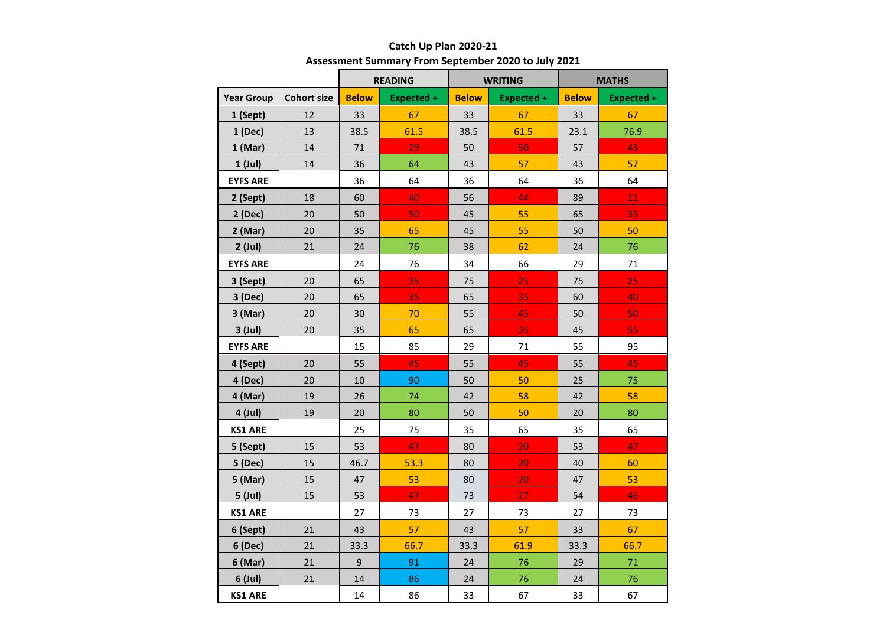|                   |                    | <b>READING</b> |                   | <b>WRITING</b> |                   | <b>MATHS</b> |                   |
|-------------------|--------------------|----------------|-------------------|----------------|-------------------|--------------|-------------------|
| <b>Year Group</b> | <b>Cohort size</b> | <b>Below</b>   | <b>Expected +</b> | <b>Below</b>   | <b>Expected +</b> | <b>Below</b> | <b>Expected +</b> |
| 1 (Sept)          | 12                 | 33             | 67                | 33             | 67                | 33           | 67                |
| 1 (Dec)           | 13                 | 38.5           | 61.5              | 38.5           | 61.5              | 23.1         | 76.9              |
| 1(Mar)            | 14                 | 71             | 29                | 50             | 50                | 57           | 43                |
| 1 (Jul)           | 14                 | 36             | 64                | 43             | 57                | 43           | 57                |
| <b>EYFS ARE</b>   |                    | 36             | 64                | 36             | 64                | 36           | 64                |
| 2 (Sept)          | 18                 | 60             | 40                | 56             | 44                | 89           | 11                |
| 2 (Dec)           | 20                 | 50             | 50                | 45             | 55                | 65           | 35                |
| $2$ (Mar)         | 20                 | 35             | 65                | 45             | 55                | 50           | 50                |
| $2$ (Jul)         | 21                 | 24             | 76                | 38             | 62                | 24           | 76                |
| <b>EYFS ARE</b>   |                    | 24             | 76                | 34             | 66                | 29           | 71                |
| 3 (Sept)          | 20                 | 65             | 35                | 75             | 25                | 75           | 25                |
| 3 (Dec)           | 20                 | 65             | 35                | 65             | 35                | 60           | 40                |
| 3 (Mar)           | 20                 | 30             | 70                | 55             | 45                | 50           | 50                |
| 3 (Jul)           | 20                 | 35             | 65                | 65             | 35                | 45           | 55                |
| <b>EYFS ARE</b>   |                    | 15             | 85                | 29             | 71                | 55           | 95                |
| 4 (Sept)          | 20                 | 55             | 45                | 55             | 45                | 55           | 45                |
| 4 (Dec)           | 20                 | 10             | 90                | 50             | 50                | 25           | 75                |
| 4 (Mar)           | 19                 | 26             | 74                | 42             | 58                | 42           | 58                |
| 4 (Jul)           | 19                 | 20             | 80                | 50             | 50                | 20           | 80                |
| <b>KS1 ARE</b>    |                    | 25             | 75                | 35             | 65                | 35           | 65                |
| 5 (Sept)          | 15                 | 53             | 47                | 80             | 20                | 53           | 47                |
| 5 (Dec)           | 15                 | 46.7           | 53.3              | 80             | 20                | 40           | 60                |
| 5 (Mar)           | 15                 | 47             | 53                | 80             | 20                | 47           | 53                |
| 5 (Jul)           | 15                 | 53             | 47                | 73             | 27                | 54           | 46                |
| <b>KS1 ARE</b>    |                    | 27             | 73                | 27             | 73                | 27           | 73                |
| 6 (Sept)          | 21                 | 43             | 57                | 43             | 57                | 33           | 67                |
| 6 (Dec)           | 21                 | 33.3           | 66.7              | 33.3           | 61.9              | 33.3         | 66.7              |
| 6 (Mar)           | 21                 | 9              | 91                | 24             | 76                | 29           | 71                |
| 6 (Jul)           | 21                 | 14             | 86                | 24             | 76                | 24           | 76                |
| <b>KS1 ARE</b>    |                    | 14             | 86                | 33             | 67                | 33           | 67                |

## **Catch Up Plan 2020-21 Assessment Summary From September 2020 to July 2021**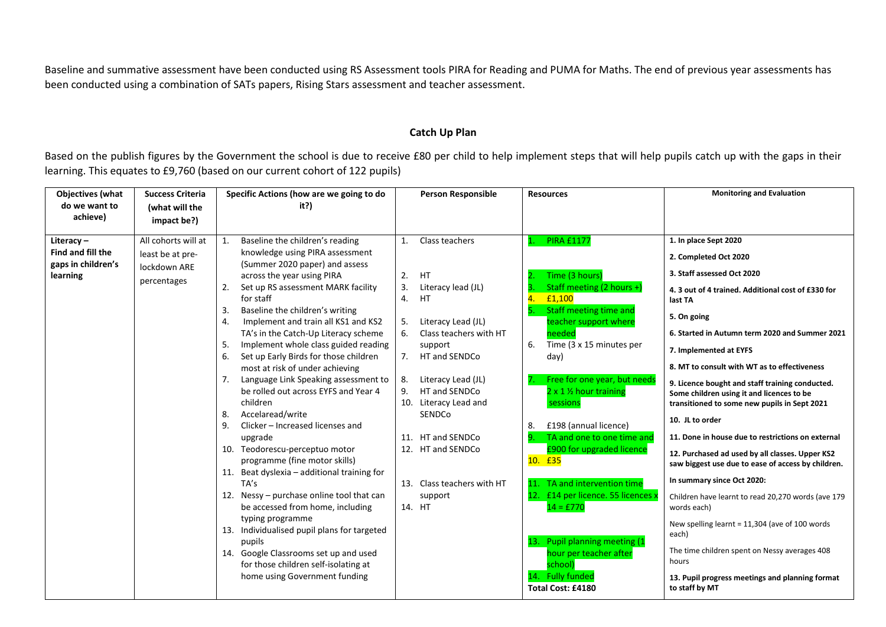Baseline and summative assessment have been conducted using RS Assessment tools PIRA for Reading and PUMA for Maths. The end of previous year assessments has been conducted using a combination of SATs papers, Rising Stars assessment and teacher assessment.

## **Catch Up Plan**

Based on the publish figures by the Government the school is due to receive £80 per child to help implement steps that will help pupils catch up with the gaps in their learning. This equates to £9,760 (based on our current cohort of 122 pupils)

| <b>Objectives (what</b><br><b>Success Criteria</b><br>do we want to<br>(what will the<br>achieve)<br>impact be?)                           | Specific Actions (how are we going to do<br>it?)                                                                                                                                                                                                                                                                                                                                                                                                                                                                                                                                                                                                                                                                                                                                                                                                                                                                                                                                                                                                           | <b>Person Responsible</b>                                                                                                                                                                                                                                                                                                                                         | <b>Resources</b>                                                                                                                                                                                                                                                                                                                                                                                                                                                                                                                                                  | <b>Monitoring and Evaluation</b>                                                                                                                                                                                                                                                                                                                                                                                                                                                                                                                                                                                                                                                                                                                                                                                                                                                                                       |
|--------------------------------------------------------------------------------------------------------------------------------------------|------------------------------------------------------------------------------------------------------------------------------------------------------------------------------------------------------------------------------------------------------------------------------------------------------------------------------------------------------------------------------------------------------------------------------------------------------------------------------------------------------------------------------------------------------------------------------------------------------------------------------------------------------------------------------------------------------------------------------------------------------------------------------------------------------------------------------------------------------------------------------------------------------------------------------------------------------------------------------------------------------------------------------------------------------------|-------------------------------------------------------------------------------------------------------------------------------------------------------------------------------------------------------------------------------------------------------------------------------------------------------------------------------------------------------------------|-------------------------------------------------------------------------------------------------------------------------------------------------------------------------------------------------------------------------------------------------------------------------------------------------------------------------------------------------------------------------------------------------------------------------------------------------------------------------------------------------------------------------------------------------------------------|------------------------------------------------------------------------------------------------------------------------------------------------------------------------------------------------------------------------------------------------------------------------------------------------------------------------------------------------------------------------------------------------------------------------------------------------------------------------------------------------------------------------------------------------------------------------------------------------------------------------------------------------------------------------------------------------------------------------------------------------------------------------------------------------------------------------------------------------------------------------------------------------------------------------|
| All cohorts will at<br>Literacy-<br>Find and fill the<br>least be at pre-<br>gaps in children's<br>lockdown ARE<br>learning<br>percentages | Baseline the children's reading<br>1.<br>knowledge using PIRA assessment<br>(Summer 2020 paper) and assess<br>across the year using PIRA<br>Set up RS assessment MARK facility<br>2.<br>for staff<br>3.<br>Baseline the children's writing<br>Implement and train all KS1 and KS2<br>4.<br>TA's in the Catch-Up Literacy scheme<br>Implement whole class guided reading<br>5.<br>Set up Early Birds for those children<br>6.<br>most at risk of under achieving<br>Language Link Speaking assessment to<br>7.<br>be rolled out across EYFS and Year 4<br>children<br>Accelaread/write<br>8.<br>Clicker - Increased licenses and<br>9.<br>upgrade<br>10. Teodorescu-perceptuo motor<br>programme (fine motor skills)<br>11. Beat dyslexia - additional training for<br>TA's<br>12. Nessy - purchase online tool that can<br>be accessed from home, including<br>typing programme<br>13. Individualised pupil plans for targeted<br>pupils<br>14. Google Classrooms set up and used<br>for those children self-isolating at<br>home using Government funding | Class teachers<br>1.<br><b>HT</b><br>2.<br>3.<br>Literacy lead (JL)<br>HT.<br>4.<br>Literacy Lead (JL)<br>5.<br>Class teachers with HT<br>6.<br>support<br>7.<br>HT and SENDCo<br>Literacy Lead (JL)<br>8.<br>HT and SENDCo<br>9.<br>10. Literacy Lead and<br>SENDCo<br>11. HT and SENDCo<br>12. HT and SENDCo<br>13. Class teachers with HT<br>support<br>14. HT | <b>PIRA £1177</b><br>Time (3 hours)<br>Staff meeting (2 hours +)<br>£1,100<br>Staff meeting time and<br>teacher support where<br>needed<br>Time (3 x 15 minutes per<br>6.<br>day)<br>Free for one year, but need:<br>2 x 1 1/2 hour training<br>sessions<br>8.<br>£198 (annual licence)<br>TA and one to one time and<br>£900 for upgraded licence<br>10. £35<br>11. TA and intervention time<br>12. £14 per licence. 55 licences x<br>$14 = £770$<br>13. Pupil planning meeting (1<br>hour per teacher after<br>school)<br>14. Fully funded<br>Total Cost: £4180 | 1. In place Sept 2020<br>2. Completed Oct 2020<br>3. Staff assessed Oct 2020<br>4. 3 out of 4 trained. Additional cost of £330 for<br>last TA<br>5. On going<br>6. Started in Autumn term 2020 and Summer 2021<br>7. Implemented at EYFS<br>8. MT to consult with WT as to effectiveness<br>9. Licence bought and staff training conducted.<br>Some children using it and licences to be<br>transitioned to some new pupils in Sept 2021<br>10. JL to order<br>11. Done in house due to restrictions on external<br>12. Purchased ad used by all classes. Upper KS2<br>saw biggest use due to ease of access by children.<br>In summary since Oct 2020:<br>Children have learnt to read 20,270 words (ave 179<br>words each)<br>New spelling learnt = 11,304 (ave of 100 words<br>each)<br>The time children spent on Nessy averages 408<br>hours<br>13. Pupil progress meetings and planning format<br>to staff by MT |